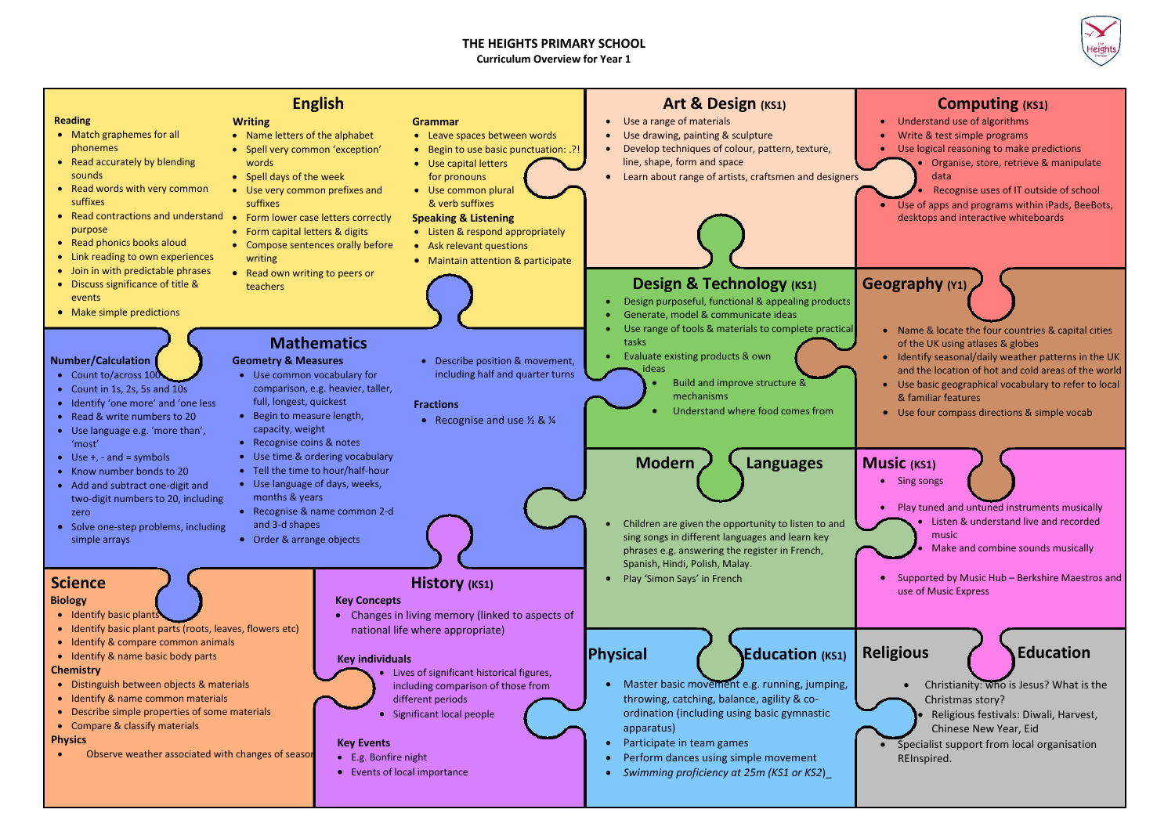## **THE HEIGHTS PRIMARY SCHOOL**

**Curriculum Overview for Year 1**